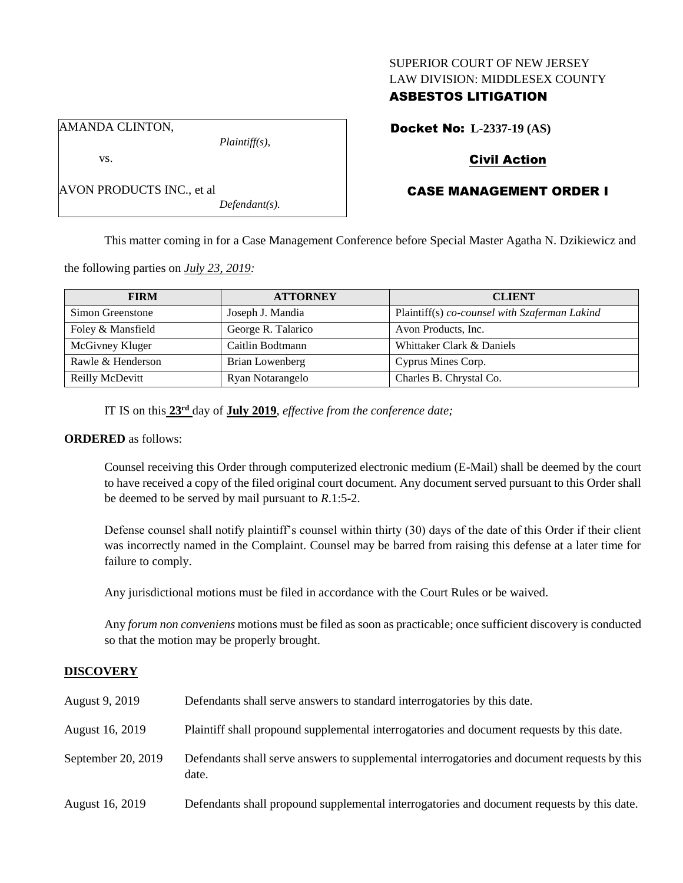## SUPERIOR COURT OF NEW JERSEY LAW DIVISION: MIDDLESEX COUNTY

## ASBESTOS LITIGATION

Docket No: **L-2337-19 (AS)**

# Civil Action

# CASE MANAGEMENT ORDER I

This matter coming in for a Case Management Conference before Special Master Agatha N. Dzikiewicz and

the following parties on *July 23, 2019:*

| <b>FIRM</b>       | <b>ATTORNEY</b>    | <b>CLIENT</b>                                 |
|-------------------|--------------------|-----------------------------------------------|
| Simon Greenstone  | Joseph J. Mandia   | Plaintiff(s) co-counsel with Szaferman Lakind |
| Foley & Mansfield | George R. Talarico | Avon Products, Inc.                           |
| McGivney Kluger   | Caitlin Bodtmann   | Whittaker Clark & Daniels                     |
| Rawle & Henderson | Brian Lowenberg    | Cyprus Mines Corp.                            |
| Reilly McDevitt   | Ryan Notarangelo   | Charles B. Chrystal Co.                       |

IT IS on this **23rd** day of **July 2019**, *effective from the conference date;*

#### **ORDERED** as follows:

Counsel receiving this Order through computerized electronic medium (E-Mail) shall be deemed by the court to have received a copy of the filed original court document. Any document served pursuant to this Order shall be deemed to be served by mail pursuant to *R*.1:5-2.

Defense counsel shall notify plaintiff's counsel within thirty (30) days of the date of this Order if their client was incorrectly named in the Complaint. Counsel may be barred from raising this defense at a later time for failure to comply.

Any jurisdictional motions must be filed in accordance with the Court Rules or be waived.

Any *forum non conveniens* motions must be filed as soon as practicable; once sufficient discovery is conducted so that the motion may be properly brought.

### **DISCOVERY**

| August 9, 2019         | Defendants shall serve answers to standard interrogatories by this date.                              |
|------------------------|-------------------------------------------------------------------------------------------------------|
| August 16, 2019        | Plaintiff shall propound supplemental interrogatories and document requests by this date.             |
| September 20, 2019     | Defendants shall serve answers to supplemental interrogatories and document requests by this<br>date. |
| <b>August 16, 2019</b> | Defendants shall propound supplemental interrogatories and document requests by this date.            |

AMANDA CLINTON,

vs.

AVON PRODUCTS INC., et al *Defendant(s).*

*Plaintiff(s),*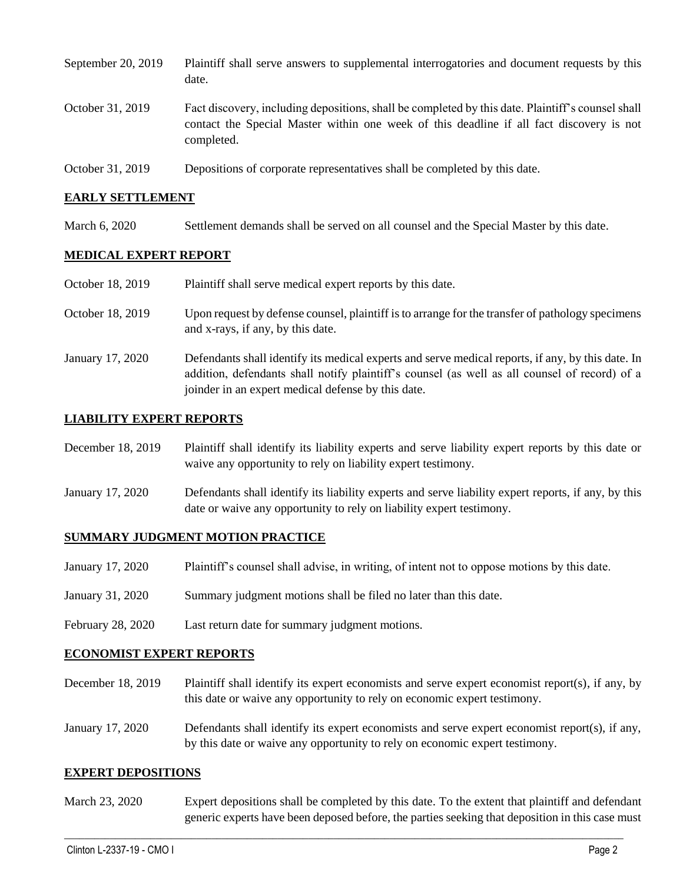| September 20, 2019 | Plaintiff shall serve answers to supplemental interrogatories and document requests by this<br>date.                                                                                                        |
|--------------------|-------------------------------------------------------------------------------------------------------------------------------------------------------------------------------------------------------------|
| October 31, 2019   | Fact discovery, including depositions, shall be completed by this date. Plaintiff's counsel shall<br>contact the Special Master within one week of this deadline if all fact discovery is not<br>completed. |
| October 31, 2019   | Depositions of corporate representatives shall be completed by this date.                                                                                                                                   |

### **EARLY SETTLEMENT**

March 6, 2020 Settlement demands shall be served on all counsel and the Special Master by this date.

## **MEDICAL EXPERT REPORT**

| October 18, 2019 | Plaintiff shall serve medical expert reports by this date.                                                                                                                                                                                               |
|------------------|----------------------------------------------------------------------------------------------------------------------------------------------------------------------------------------------------------------------------------------------------------|
| October 18, 2019 | Upon request by defense counsel, plaintiff is to arrange for the transfer of pathology specimens<br>and x-rays, if any, by this date.                                                                                                                    |
| January 17, 2020 | Defendants shall identify its medical experts and serve medical reports, if any, by this date. In<br>addition, defendants shall notify plaintiff's counsel (as well as all counsel of record) of a<br>joinder in an expert medical defense by this date. |

## **LIABILITY EXPERT REPORTS**

| December 18, 2019                                            | Plaintiff shall identify its liability experts and serve liability expert reports by this date or |  |  |  |
|--------------------------------------------------------------|---------------------------------------------------------------------------------------------------|--|--|--|
| waive any opportunity to rely on liability expert testimony. |                                                                                                   |  |  |  |

January 17, 2020 Defendants shall identify its liability experts and serve liability expert reports, if any, by this date or waive any opportunity to rely on liability expert testimony.

### **SUMMARY JUDGMENT MOTION PRACTICE**

- January 17, 2020 Plaintiff's counsel shall advise, in writing, of intent not to oppose motions by this date.
- January 31, 2020 Summary judgment motions shall be filed no later than this date.
- February 28, 2020 Last return date for summary judgment motions.

### **ECONOMIST EXPERT REPORTS**

- December 18, 2019 Plaintiff shall identify its expert economists and serve expert economist report(s), if any, by this date or waive any opportunity to rely on economic expert testimony.
- January 17, 2020 Defendants shall identify its expert economists and serve expert economist report(s), if any, by this date or waive any opportunity to rely on economic expert testimony.

### **EXPERT DEPOSITIONS**

March 23, 2020 Expert depositions shall be completed by this date. To the extent that plaintiff and defendant generic experts have been deposed before, the parties seeking that deposition in this case must

 $\_$  , and the set of the set of the set of the set of the set of the set of the set of the set of the set of the set of the set of the set of the set of the set of the set of the set of the set of the set of the set of th